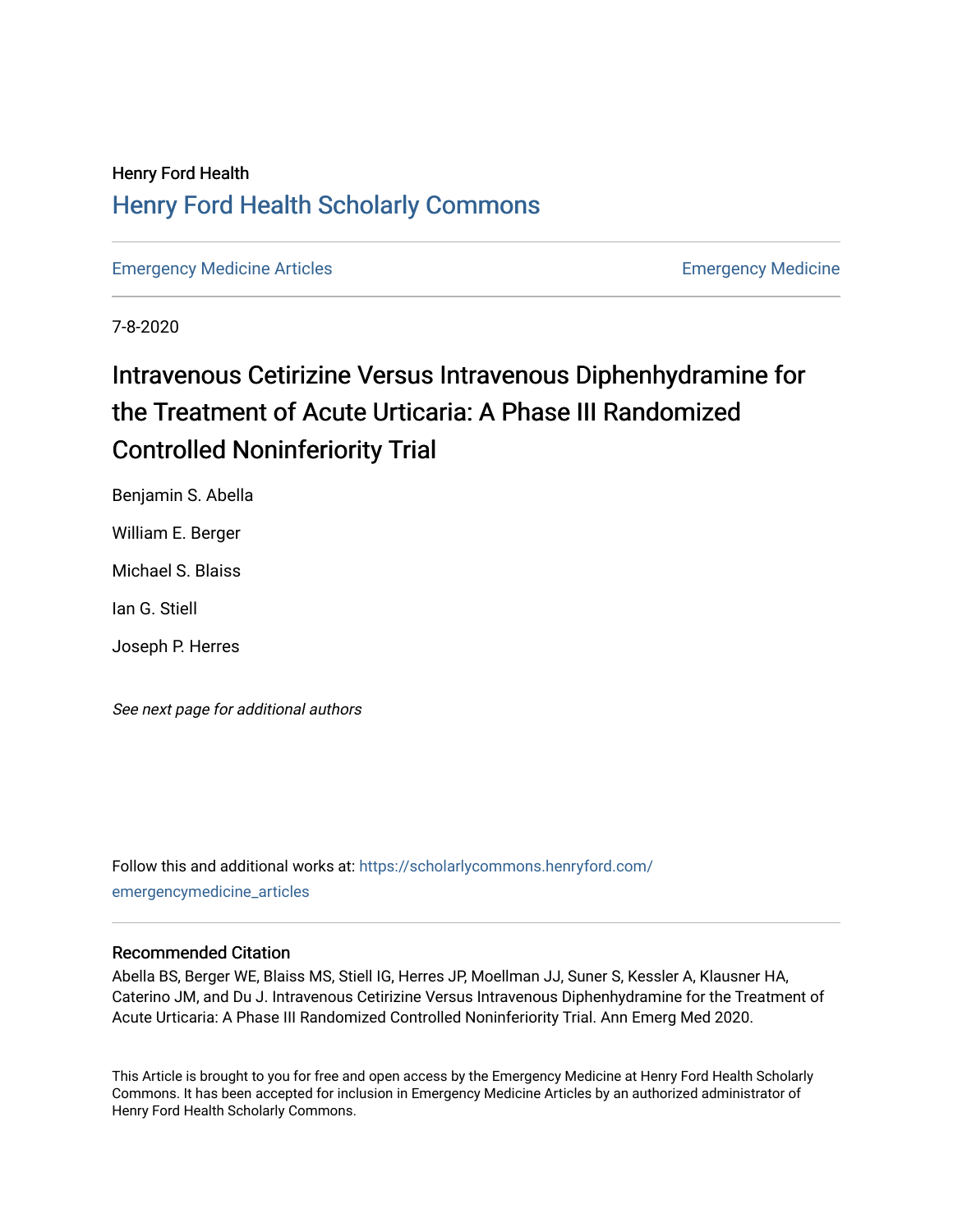# Henry Ford Health [Henry Ford Health Scholarly Commons](https://scholarlycommons.henryford.com/)

[Emergency Medicine Articles](https://scholarlycommons.henryford.com/emergencymedicine_articles) **Emergency Medicine** 

7-8-2020

# Intravenous Cetirizine Versus Intravenous Diphenhydramine for the Treatment of Acute Urticaria: A Phase III Randomized Controlled Noninferiority Trial

Benjamin S. Abella

William E. Berger

Michael S. Blaiss

Ian G. Stiell

Joseph P. Herres

See next page for additional authors

Follow this and additional works at: [https://scholarlycommons.henryford.com/](https://scholarlycommons.henryford.com/emergencymedicine_articles?utm_source=scholarlycommons.henryford.com%2Femergencymedicine_articles%2F203&utm_medium=PDF&utm_campaign=PDFCoverPages) [emergencymedicine\\_articles](https://scholarlycommons.henryford.com/emergencymedicine_articles?utm_source=scholarlycommons.henryford.com%2Femergencymedicine_articles%2F203&utm_medium=PDF&utm_campaign=PDFCoverPages) 

### Recommended Citation

Abella BS, Berger WE, Blaiss MS, Stiell IG, Herres JP, Moellman JJ, Suner S, Kessler A, Klausner HA, Caterino JM, and Du J. Intravenous Cetirizine Versus Intravenous Diphenhydramine for the Treatment of Acute Urticaria: A Phase III Randomized Controlled Noninferiority Trial. Ann Emerg Med 2020.

This Article is brought to you for free and open access by the Emergency Medicine at Henry Ford Health Scholarly Commons. It has been accepted for inclusion in Emergency Medicine Articles by an authorized administrator of Henry Ford Health Scholarly Commons.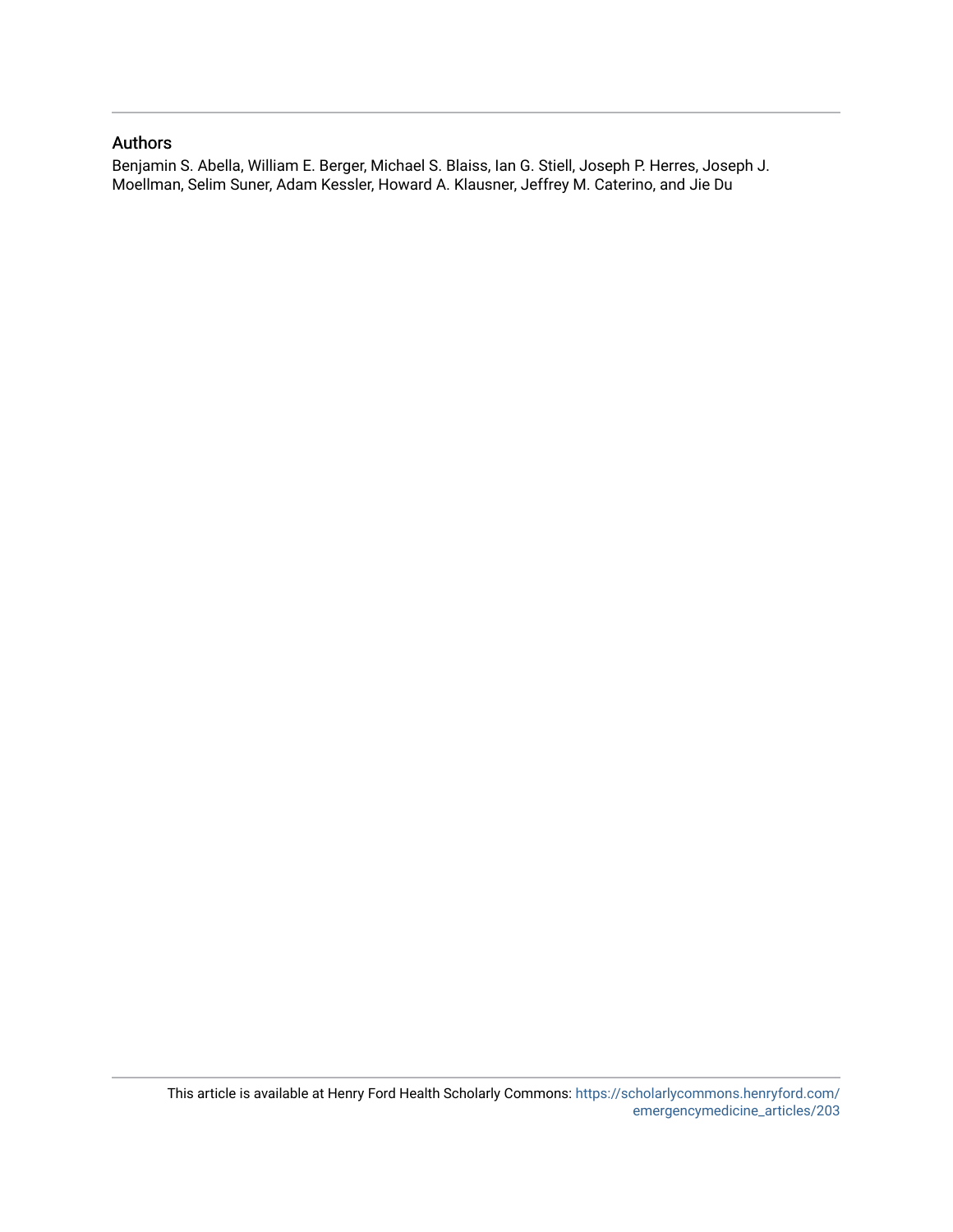### Authors

Benjamin S. Abella, William E. Berger, Michael S. Blaiss, Ian G. Stiell, Joseph P. Herres, Joseph J. Moellman, Selim Suner, Adam Kessler, Howard A. Klausner, Jeffrey M. Caterino, and Jie Du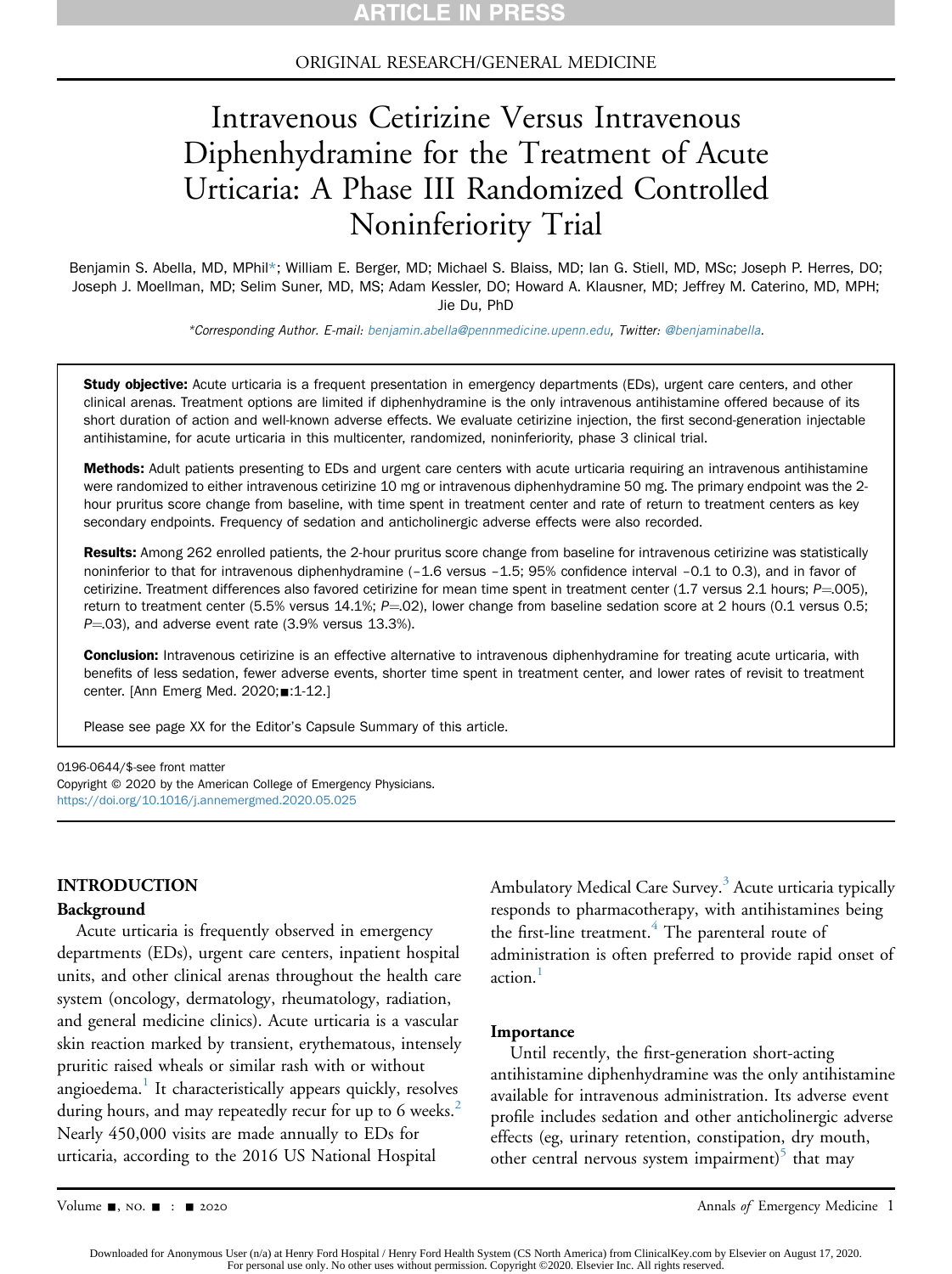#### ORIGINAL RESEARCH/GENERAL MEDICINE

# Intravenous Cetirizine Versus Intravenous Diphenhydramine for the Treatment of Acute Urticaria: A Phase III Randomized Controlled Noninferiority Trial

Benjamin S. Abella, MD, MPhil\*; William E. Berger, MD; Michael S. Blaiss, MD; Ian G. Stiell, MD, MSc; Joseph P. Herres, DO; Joseph J. Moellman, MD; Selim Suner, MD, MS; Adam Kessler, DO; Howard A. Klausner, MD; Jeffrey M. Caterino, MD, MPH; Jie Du, PhD

\*Corresponding Author. E-mail: [benjamin.abella@pennmedicine.upenn.edu,](mailto:benjamin.abella@pennmedicine.upenn.edu) Twitter: [@benjaminabella](https://twitter.com/benjaminabella).

Study objective: Acute urticaria is a frequent presentation in emergency departments (EDs), urgent care centers, and other clinical arenas. Treatment options are limited if diphenhydramine is the only intravenous antihistamine offered because of its short duration of action and well-known adverse effects. We evaluate cetirizine injection, the first second-generation injectable antihistamine, for acute urticaria in this multicenter, randomized, noninferiority, phase 3 clinical trial.

Methods: Adult patients presenting to EDs and urgent care centers with acute urticaria requiring an intravenous antihistamine were randomized to either intravenous cetirizine 10 mg or intravenous diphenhydramine 50 mg. The primary endpoint was the 2 hour pruritus score change from baseline, with time spent in treatment center and rate of return to treatment centers as key secondary endpoints. Frequency of sedation and anticholinergic adverse effects were also recorded.

Results: Among 262 enrolled patients, the 2-hour pruritus score change from baseline for intravenous cetirizine was statistically noninferior to that for intravenous diphenhydramine (–1.6 versus –1.5; 95% confidence interval –0.1 to 0.3), and in favor of cetirizine. Treatment differences also favored cetirizine for mean time spent in treatment center  $(1.7 \text{ versus } 2.1 \text{ hours}; P = 005)$ , return to treatment center (5.5% versus 14.1%;  $P=02$ ), lower change from baseline sedation score at 2 hours (0.1 versus 0.5;  $P=03$ ), and adverse event rate (3.9% versus 13.3%).

**Conclusion:** Intravenous cetirizine is an effective alternative to intravenous diphenhydramine for treating acute urticaria, with benefits of less sedation, fewer adverse events, shorter time spent in treatment center, and lower rates of revisit to treatment center. [Ann Emerg Med. 2020;■:1-12.]

Please see page XX for the Editor's Capsule Summary of this article.

0196-0644/\$-see front matter

Copyright © 2020 by the American College of Emergency Physicians. <https://doi.org/10.1016/j.annemergmed.2020.05.025>

#### INTRODUCTION

#### Background

Acute urticaria is frequently observed in emergency departments (EDs), urgent care centers, inpatient hospital units, and other clinical arenas throughout the health care system (oncology, dermatology, rheumatology, radiation, and general medicine clinics). Acute urticaria is a vascular skin reaction marked by transient, erythematous, intensely pruritic raised wheals or similar rash with or without angioedema.<sup>[1](#page-12-0)</sup> It characteristically appears quickly, resolves during hours, and may repeatedly recur for up to 6 weeks.<sup>[2](#page-12-1)</sup> Nearly 450,000 visits are made annually to EDs for urticaria, according to the 2016 US National Hospital

Ambulatory Medical Care Survey.<sup>3</sup> Acute urticaria typically responds to pharmacotherapy, with antihistamines being the first-line treatment.<sup>4</sup> The parenteral route of administration is often preferred to provide rapid onset of action.

#### Importance

Until recently, the first-generation short-acting antihistamine diphenhydramine was the only antihistamine available for intravenous administration. Its adverse event profile includes sedation and other anticholinergic adverse effects (eg, urinary retention, constipation, dry mouth, other central nervous system impairment) $\delta$  that may

Volume -, no. - : - 2020 Annals of Emergency Medicine 1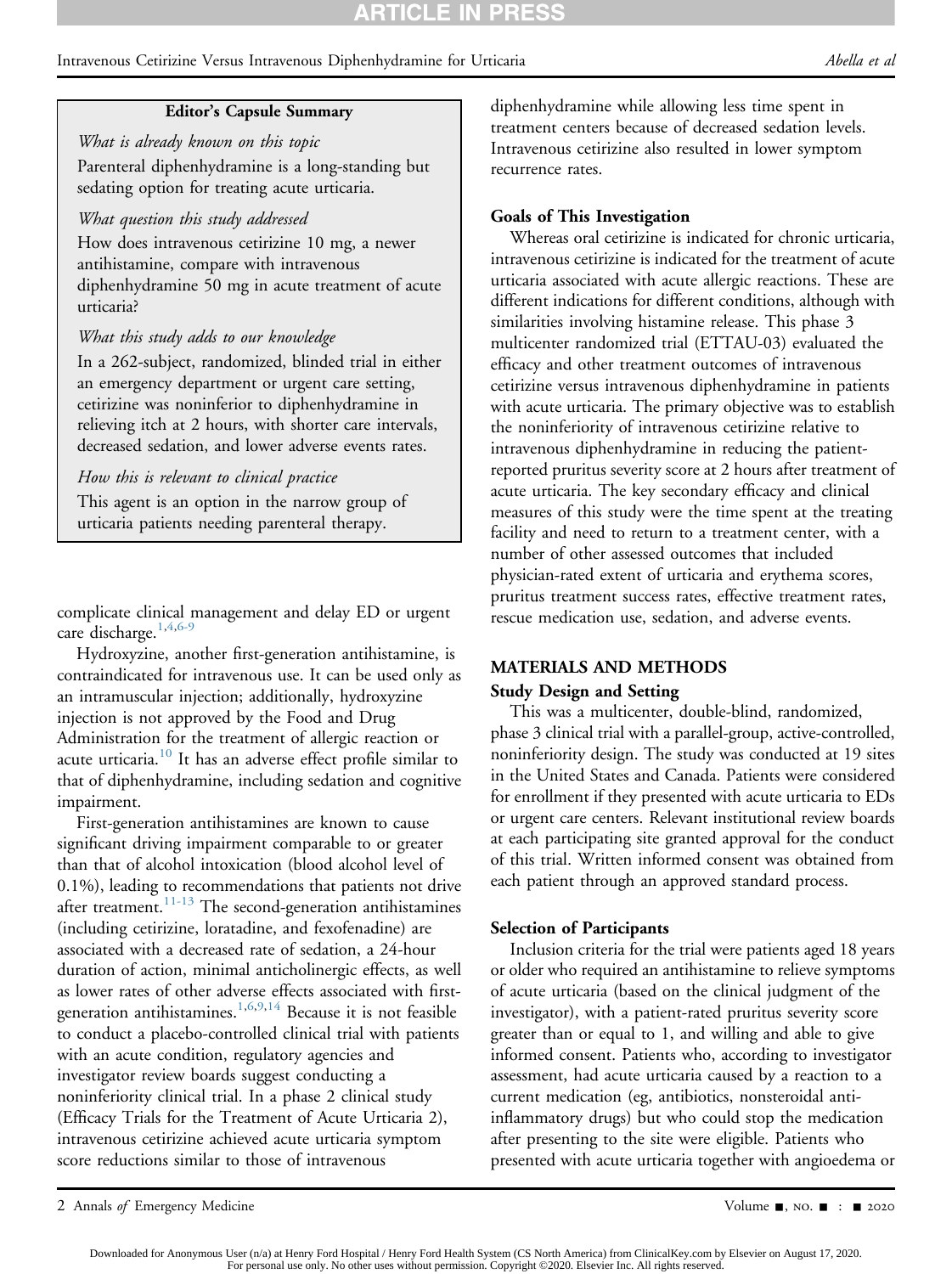#### Intravenous Cetirizine Versus Intravenous Diphenhydramine for Urticaria Abella et al

#### Editor's Capsule Summary

What is already known on this topic Parenteral diphenhydramine is a long-standing but sedating option for treating acute urticaria.

#### What question this study addressed

How does intravenous cetirizine 10 mg, a newer antihistamine, compare with intravenous diphenhydramine 50 mg in acute treatment of acute urticaria?

#### What this study adds to our knowledge

In a 262-subject, randomized, blinded trial in either an emergency department or urgent care setting, cetirizine was noninferior to diphenhydramine in relieving itch at 2 hours, with shorter care intervals, decreased sedation, and lower adverse events rates.

#### How this is relevant to clinical practice

This agent is an option in the narrow group of urticaria patients needing parenteral therapy.

complicate clinical management and delay ED or urgent care discharge.<sup>[1,](#page-12-0)[4,](#page-12-3)[6-9](#page-12-5)</sup>

Hydroxyzine, another first-generation antihistamine, is contraindicated for intravenous use. It can be used only as an intramuscular injection; additionally, hydroxyzine injection is not approved by the Food and Drug Administration for the treatment of allergic reaction or acute urticaria.<sup>[10](#page-12-6)</sup> It has an adverse effect profile similar to that of diphenhydramine, including sedation and cognitive impairment.

First-generation antihistamines are known to cause significant driving impairment comparable to or greater than that of alcohol intoxication (blood alcohol level of 0.1%), leading to recommendations that patients not drive after treatment.<sup>11-13</sup> The second-generation antihistamines (including cetirizine, loratadine, and fexofenadine) are associated with a decreased rate of sedation, a 24-hour duration of action, minimal anticholinergic effects, as well as lower rates of other adverse effects associated with first-generation antihistamines.<sup>[1,](#page-12-0)[6](#page-12-5)[,9](#page-12-7)[,14](#page-13-1)</sup> Because it is not feasible to conduct a placebo-controlled clinical trial with patients with an acute condition, regulatory agencies and investigator review boards suggest conducting a noninferiority clinical trial. In a phase 2 clinical study (Efficacy Trials for the Treatment of Acute Urticaria 2), intravenous cetirizine achieved acute urticaria symptom score reductions similar to those of intravenous

diphenhydramine while allowing less time spent in treatment centers because of decreased sedation levels. Intravenous cetirizine also resulted in lower symptom recurrence rates.

#### Goals of This Investigation

Whereas oral cetirizine is indicated for chronic urticaria, intravenous cetirizine is indicated for the treatment of acute urticaria associated with acute allergic reactions. These are different indications for different conditions, although with similarities involving histamine release. This phase 3 multicenter randomized trial (ETTAU-03) evaluated the efficacy and other treatment outcomes of intravenous cetirizine versus intravenous diphenhydramine in patients with acute urticaria. The primary objective was to establish the noninferiority of intravenous cetirizine relative to intravenous diphenhydramine in reducing the patientreported pruritus severity score at 2 hours after treatment of acute urticaria. The key secondary efficacy and clinical measures of this study were the time spent at the treating facility and need to return to a treatment center, with a number of other assessed outcomes that included physician-rated extent of urticaria and erythema scores, pruritus treatment success rates, effective treatment rates, rescue medication use, sedation, and adverse events.

#### MATERIALS AND METHODS

#### Study Design and Setting

This was a multicenter, double-blind, randomized, phase 3 clinical trial with a parallel-group, active-controlled, noninferiority design. The study was conducted at 19 sites in the United States and Canada. Patients were considered for enrollment if they presented with acute urticaria to EDs or urgent care centers. Relevant institutional review boards at each participating site granted approval for the conduct of this trial. Written informed consent was obtained from each patient through an approved standard process.

#### Selection of Participants

Inclusion criteria for the trial were patients aged 18 years or older who required an antihistamine to relieve symptoms of acute urticaria (based on the clinical judgment of the investigator), with a patient-rated pruritus severity score greater than or equal to 1, and willing and able to give informed consent. Patients who, according to investigator assessment, had acute urticaria caused by a reaction to a current medication (eg, antibiotics, nonsteroidal antiinflammatory drugs) but who could stop the medication after presenting to the site were eligible. Patients who presented with acute urticaria together with angioedema or

<sup>2</sup> Annals of Emergency Medicine Contract Contract Contract Contract Contract Contract Contract Contract Contract Contract Contract Oriental Application Contract Contract Contract Contract Contract Contract Contract Contract

Downloaded for Anonymous User (n/a) at Henry Ford Hospital / Henry Ford Health System (CS North America) from ClinicalKey.com by Elsevier on August 17, 2020.<br>For personal use only. No other uses without permission. Copyrig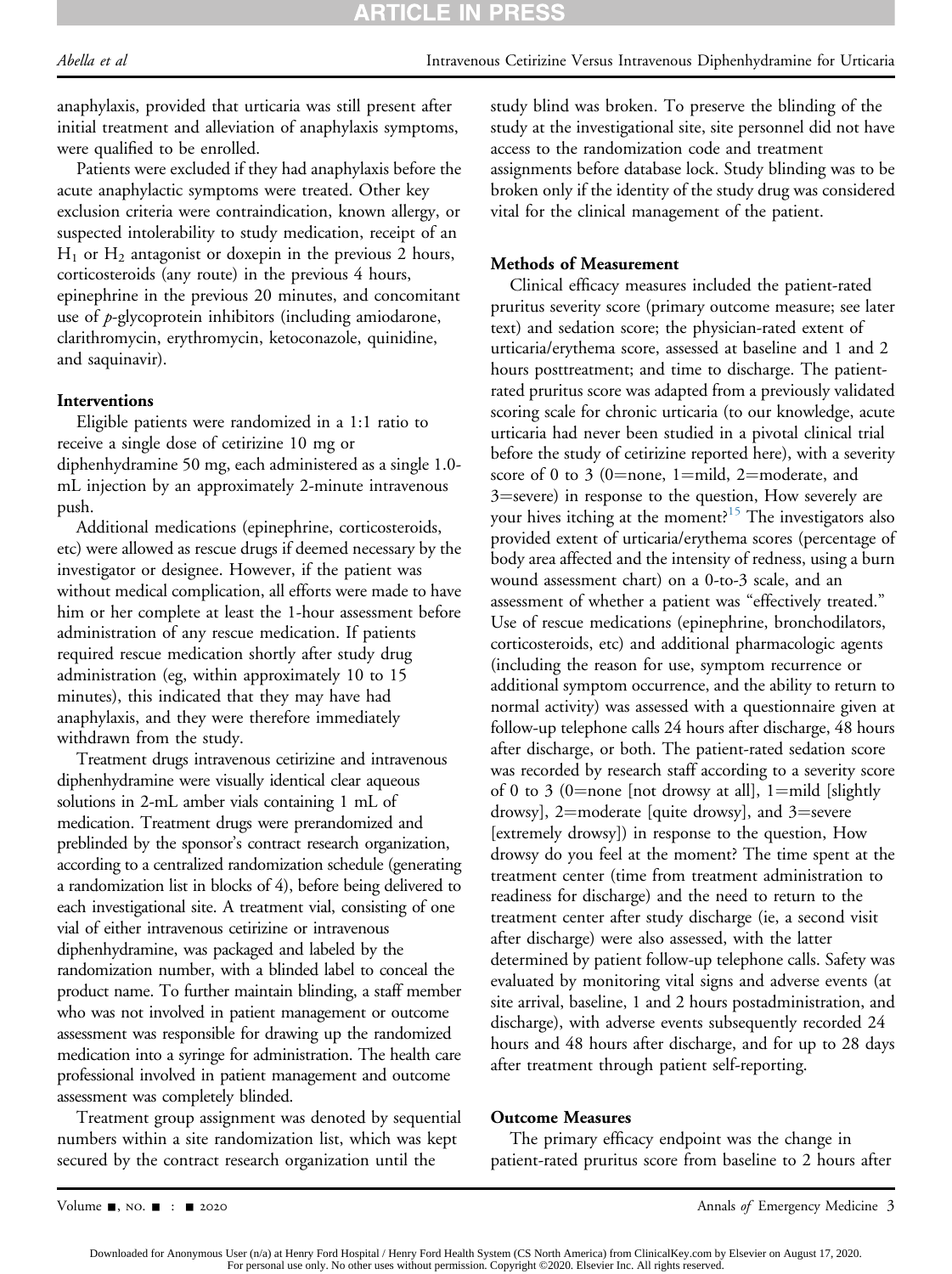anaphylaxis, provided that urticaria was still present after initial treatment and alleviation of anaphylaxis symptoms, were qualified to be enrolled.

Patients were excluded if they had anaphylaxis before the acute anaphylactic symptoms were treated. Other key exclusion criteria were contraindication, known allergy, or suspected intolerability to study medication, receipt of an  $H_1$  or  $H_2$  antagonist or doxepin in the previous 2 hours, corticosteroids (any route) in the previous 4 hours, epinephrine in the previous 20 minutes, and concomitant use of  $p$ -glycoprotein inhibitors (including amiodarone, clarithromycin, erythromycin, ketoconazole, quinidine, and saquinavir).

## Interventions

Eligible patients were randomized in a 1:1 ratio to receive a single dose of cetirizine 10 mg or diphenhydramine 50 mg, each administered as a single 1.0 mL injection by an approximately 2-minute intravenous push.

Additional medications (epinephrine, corticosteroids, etc) were allowed as rescue drugs if deemed necessary by the investigator or designee. However, if the patient was without medical complication, all efforts were made to have him or her complete at least the 1-hour assessment before administration of any rescue medication. If patients required rescue medication shortly after study drug administration (eg, within approximately 10 to 15 minutes), this indicated that they may have had anaphylaxis, and they were therefore immediately withdrawn from the study.

Treatment drugs intravenous cetirizine and intravenous diphenhydramine were visually identical clear aqueous solutions in 2-mL amber vials containing 1 mL of medication. Treatment drugs were prerandomized and preblinded by the sponsor's contract research organization, according to a centralized randomization schedule (generating a randomization list in blocks of 4), before being delivered to each investigational site. A treatment vial, consisting of one vial of either intravenous cetirizine or intravenous diphenhydramine, was packaged and labeled by the randomization number, with a blinded label to conceal the product name. To further maintain blinding, a staff member who was not involved in patient management or outcome assessment was responsible for drawing up the randomized medication into a syringe for administration. The health care professional involved in patient management and outcome assessment was completely blinded.

Treatment group assignment was denoted by sequential numbers within a site randomization list, which was kept secured by the contract research organization until the

study blind was broken. To preserve the blinding of the study at the investigational site, site personnel did not have access to the randomization code and treatment assignments before database lock. Study blinding was to be broken only if the identity of the study drug was considered vital for the clinical management of the patient.

# Methods of Measurement

Clinical efficacy measures included the patient-rated pruritus severity score (primary outcome measure; see later text) and sedation score; the physician-rated extent of urticaria/erythema score, assessed at baseline and 1 and 2 hours posttreatment; and time to discharge. The patientrated pruritus score was adapted from a previously validated scoring scale for chronic urticaria (to our knowledge, acute urticaria had never been studied in a pivotal clinical trial before the study of cetirizine reported here), with a severity score of 0 to 3 (0=none, 1=mild, 2=moderate, and 3=severe) in response to the question, How severely are your hives itching at the moment?<sup>15</sup> The investigators also provided extent of urticaria/erythema scores (percentage of body area affected and the intensity of redness, using a burn wound assessment chart) on a 0-to-3 scale, and an assessment of whether a patient was "effectively treated." Use of rescue medications (epinephrine, bronchodilators, corticosteroids, etc) and additional pharmacologic agents (including the reason for use, symptom recurrence or additional symptom occurrence, and the ability to return to normal activity) was assessed with a questionnaire given at follow-up telephone calls 24 hours after discharge, 48 hours after discharge, or both. The patient-rated sedation score was recorded by research staff according to a severity score of 0 to 3 (0=none [not drowsy at all], 1=mild [slightly drowsy], 2=moderate [quite drowsy], and 3=severe [extremely drowsy]) in response to the question, How drowsy do you feel at the moment? The time spent at the treatment center (time from treatment administration to readiness for discharge) and the need to return to the treatment center after study discharge (ie, a second visit after discharge) were also assessed, with the latter determined by patient follow-up telephone calls. Safety was evaluated by monitoring vital signs and adverse events (at site arrival, baseline, 1 and 2 hours postadministration, and discharge), with adverse events subsequently recorded 24 hours and 48 hours after discharge, and for up to 28 days after treatment through patient self-reporting.

## Outcome Measures

The primary efficacy endpoint was the change in patient-rated pruritus score from baseline to 2 hours after

Downloaded for Anonymous User (n/a) at Henry Ford Hospital / Henry Ford Health System (CS North America) from ClinicalKey.com by Elsevier on August 17, 2020.<br>For personal use only. No other uses without permission. Copyrig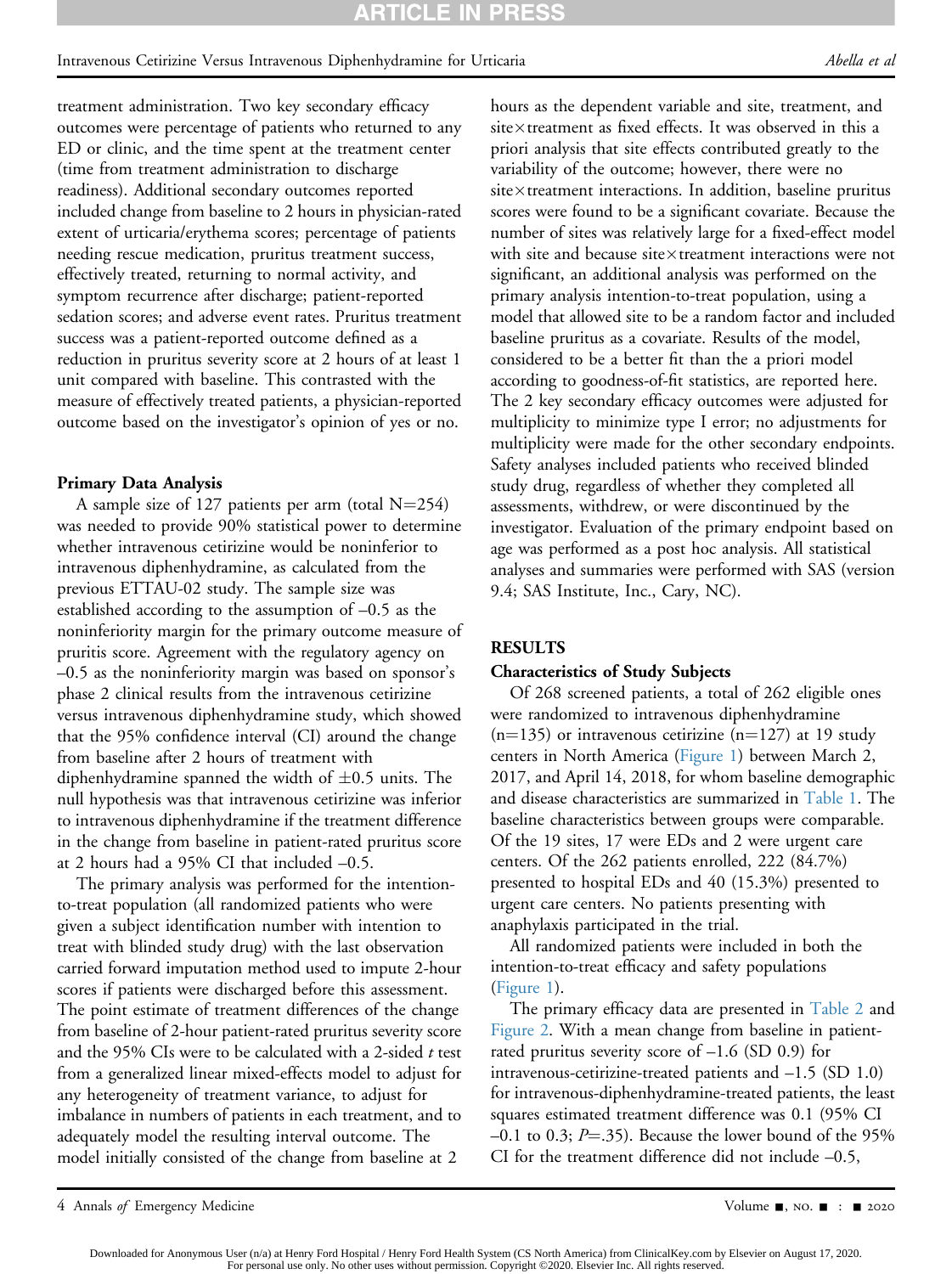#### Intravenous Cetirizine Versus Intravenous Diphenhydramine for Urticaria Abella et al

treatment administration. Two key secondary efficacy outcomes were percentage of patients who returned to any ED or clinic, and the time spent at the treatment center (time from treatment administration to discharge readiness). Additional secondary outcomes reported included change from baseline to 2 hours in physician-rated extent of urticaria/erythema scores; percentage of patients needing rescue medication, pruritus treatment success, effectively treated, returning to normal activity, and symptom recurrence after discharge; patient-reported sedation scores; and adverse event rates. Pruritus treatment success was a patient-reported outcome defined as a reduction in pruritus severity score at 2 hours of at least 1 unit compared with baseline. This contrasted with the measure of effectively treated patients, a physician-reported outcome based on the investigator's opinion of yes or no.

#### Primary Data Analysis

A sample size of 127 patients per arm (total  $N=254$ ) was needed to provide 90% statistical power to determine whether intravenous cetirizine would be noninferior to intravenous diphenhydramine, as calculated from the previous ETTAU-02 study. The sample size was established according to the assumption of –0.5 as the noninferiority margin for the primary outcome measure of pruritis score. Agreement with the regulatory agency on –0.5 as the noninferiority margin was based on sponsor's phase 2 clinical results from the intravenous cetirizine versus intravenous diphenhydramine study, which showed that the 95% confidence interval (CI) around the change from baseline after 2 hours of treatment with diphenhydramine spanned the width of  $\pm 0.5$  units. The null hypothesis was that intravenous cetirizine was inferior to intravenous diphenhydramine if the treatment difference in the change from baseline in patient-rated pruritus score at 2 hours had a 95% CI that included –0.5.

The primary analysis was performed for the intentionto-treat population (all randomized patients who were given a subject identification number with intention to treat with blinded study drug) with the last observation carried forward imputation method used to impute 2-hour scores if patients were discharged before this assessment. The point estimate of treatment differences of the change from baseline of 2-hour patient-rated pruritus severity score and the 95% CIs were to be calculated with a 2-sided  $t$  test from a generalized linear mixed-effects model to adjust for any heterogeneity of treatment variance, to adjust for imbalance in numbers of patients in each treatment, and to adequately model the resulting interval outcome. The model initially consisted of the change from baseline at 2

hours as the dependent variable and site, treatment, and site $\times$ treatment as fixed effects. It was observed in this a priori analysis that site effects contributed greatly to the variability of the outcome; however, there were no  $site \times treatment$  interactions. In addition, baseline pruritus scores were found to be a significant covariate. Because the number of sites was relatively large for a fixed-effect model with site and because site $\times$ treatment interactions were not significant, an additional analysis was performed on the primary analysis intention-to-treat population, using a model that allowed site to be a random factor and included baseline pruritus as a covariate. Results of the model, considered to be a better fit than the a priori model according to goodness-of-fit statistics, are reported here. The 2 key secondary efficacy outcomes were adjusted for multiplicity to minimize type I error; no adjustments for multiplicity were made for the other secondary endpoints. Safety analyses included patients who received blinded study drug, regardless of whether they completed all assessments, withdrew, or were discontinued by the investigator. Evaluation of the primary endpoint based on age was performed as a post hoc analysis. All statistical analyses and summaries were performed with SAS (version 9.4; SAS Institute, Inc., Cary, NC).

#### RESULTS

#### Characteristics of Study Subjects

Of 268 screened patients, a total of 262 eligible ones were randomized to intravenous diphenhydramine  $(n=135)$  or intravenous cetirizine  $(n=127)$  at 19 study centers in North America ([Figure 1](#page-6-0)) between March 2, 2017, and April 14, 2018, for whom baseline demographic and disease characteristics are summarized in [Table 1.](#page-7-0) The baseline characteristics between groups were comparable. Of the 19 sites, 17 were EDs and 2 were urgent care centers. Of the 262 patients enrolled, 222 (84.7%) presented to hospital EDs and 40 (15.3%) presented to urgent care centers. No patients presenting with anaphylaxis participated in the trial.

All randomized patients were included in both the intention-to-treat efficacy and safety populations ([Figure 1\)](#page-6-0).

The primary efficacy data are presented in [Table 2](#page-8-0) and [Figure 2](#page-8-1). With a mean change from baseline in patientrated pruritus severity score of  $-1.6$  (SD 0.9) for intravenous-cetirizine-treated patients and  $-1.5$  (SD 1.0) for intravenous-diphenhydramine-treated patients, the least squares estimated treatment difference was 0.1 (95% CI  $-0.1$  to 0.3; P=.35). Because the lower bound of the 95% CI for the treatment difference did not include –0.5,

<sup>4</sup> Annals of Emergency Medicine Contract and the Contract of Contract and Solume -, no. ■ : = 2020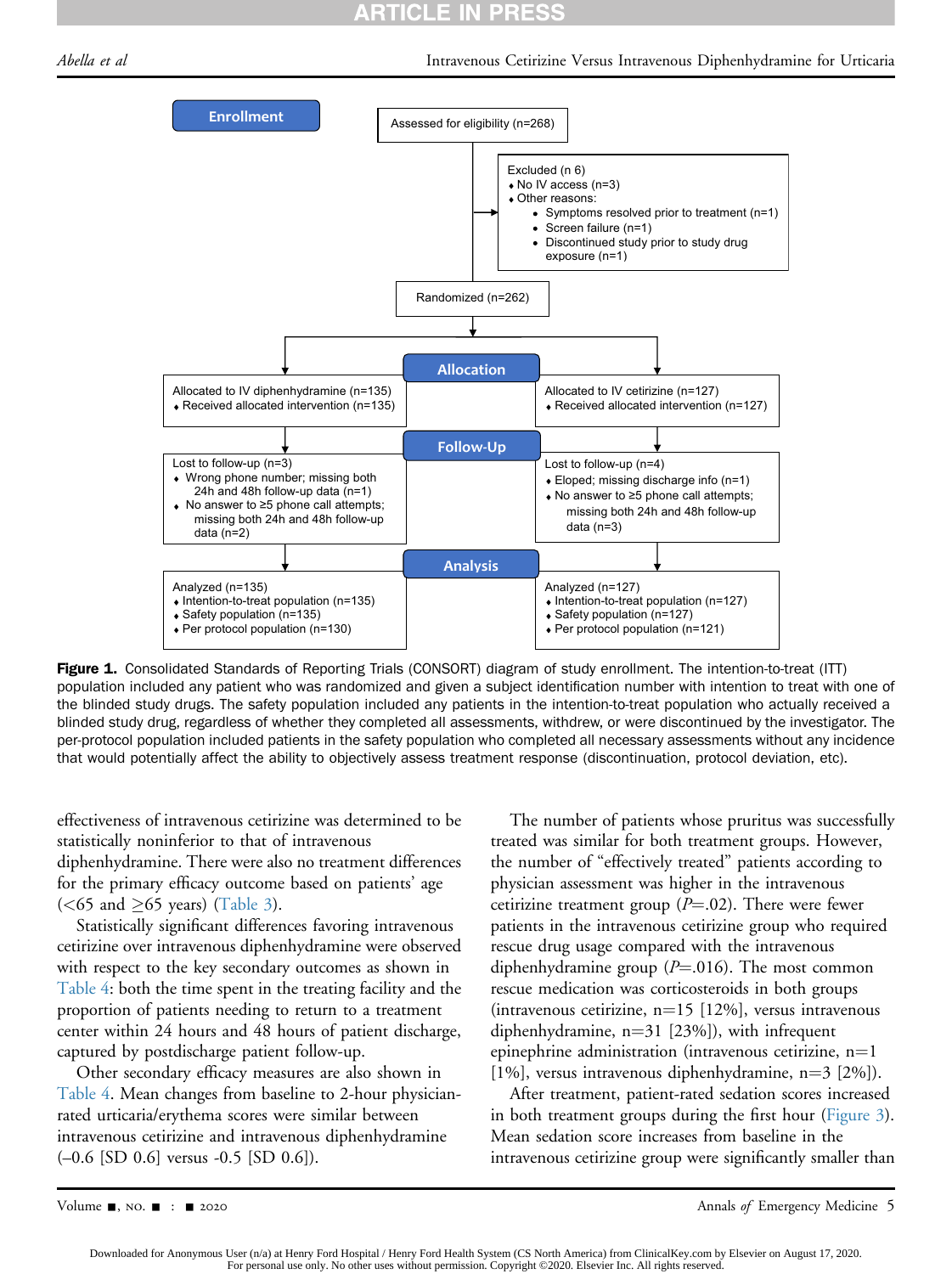# **ARTICLE IN PRESS**

<span id="page-6-0"></span>



Figure 1. Consolidated Standards of Reporting Trials (CONSORT) diagram of study enrollment. The intention-to-treat (ITT) population included any patient who was randomized and given a subject identification number with intention to treat with one of the blinded study drugs. The safety population included any patients in the intention-to-treat population who actually received a blinded study drug, regardless of whether they completed all assessments, withdrew, or were discontinued by the investigator. The per-protocol population included patients in the safety population who completed all necessary assessments without any incidence that would potentially affect the ability to objectively assess treatment response (discontinuation, protocol deviation, etc).

effectiveness of intravenous cetirizine was determined to be statistically noninferior to that of intravenous diphenhydramine. There were also no treatment differences for the primary efficacy outcome based on patients' age ( $<$ 65 and  $\geq$ 65 years) [\(Table 3\)](#page-9-0).

Statistically significant differences favoring intravenous cetirizine over intravenous diphenhydramine were observed with respect to the key secondary outcomes as shown in [Table 4](#page-9-1): both the time spent in the treating facility and the proportion of patients needing to return to a treatment center within 24 hours and 48 hours of patient discharge, captured by postdischarge patient follow-up.

Other secondary efficacy measures are also shown in [Table 4.](#page-9-1) Mean changes from baseline to 2-hour physicianrated urticaria/erythema scores were similar between intravenous cetirizine and intravenous diphenhydramine  $(-0.6$  [SD 0.6] versus  $-0.5$  [SD 0.6]).

The number of patients whose pruritus was successfully treated was similar for both treatment groups. However, the number of "effectively treated" patients according to physician assessment was higher in the intravenous cetirizine treatment group ( $P = .02$ ). There were fewer patients in the intravenous cetirizine group who required rescue drug usage compared with the intravenous diphenhydramine group ( $P = .016$ ). The most common rescue medication was corticosteroids in both groups (intravenous cetirizine,  $n=15$  [12%], versus intravenous diphenhydramine,  $n=31$  [23%]), with infrequent epinephrine administration (intravenous cetirizine,  $n=1$ [1%], versus intravenous diphenhydramine,  $n=3$  [2%]).

After treatment, patient-rated sedation scores increased in both treatment groups during the first hour ([Figure 3\)](#page-10-0). Mean sedation score increases from baseline in the intravenous cetirizine group were significantly smaller than

Downloaded for Anonymous User (n/a) at Henry Ford Hospital / Henry Ford Health System (CS North America) from ClinicalKey.com by Elsevier on August 17, 2020. For personal use only. No other uses without permission. Copyright ©2020. Elsevier Inc. All rights reserved.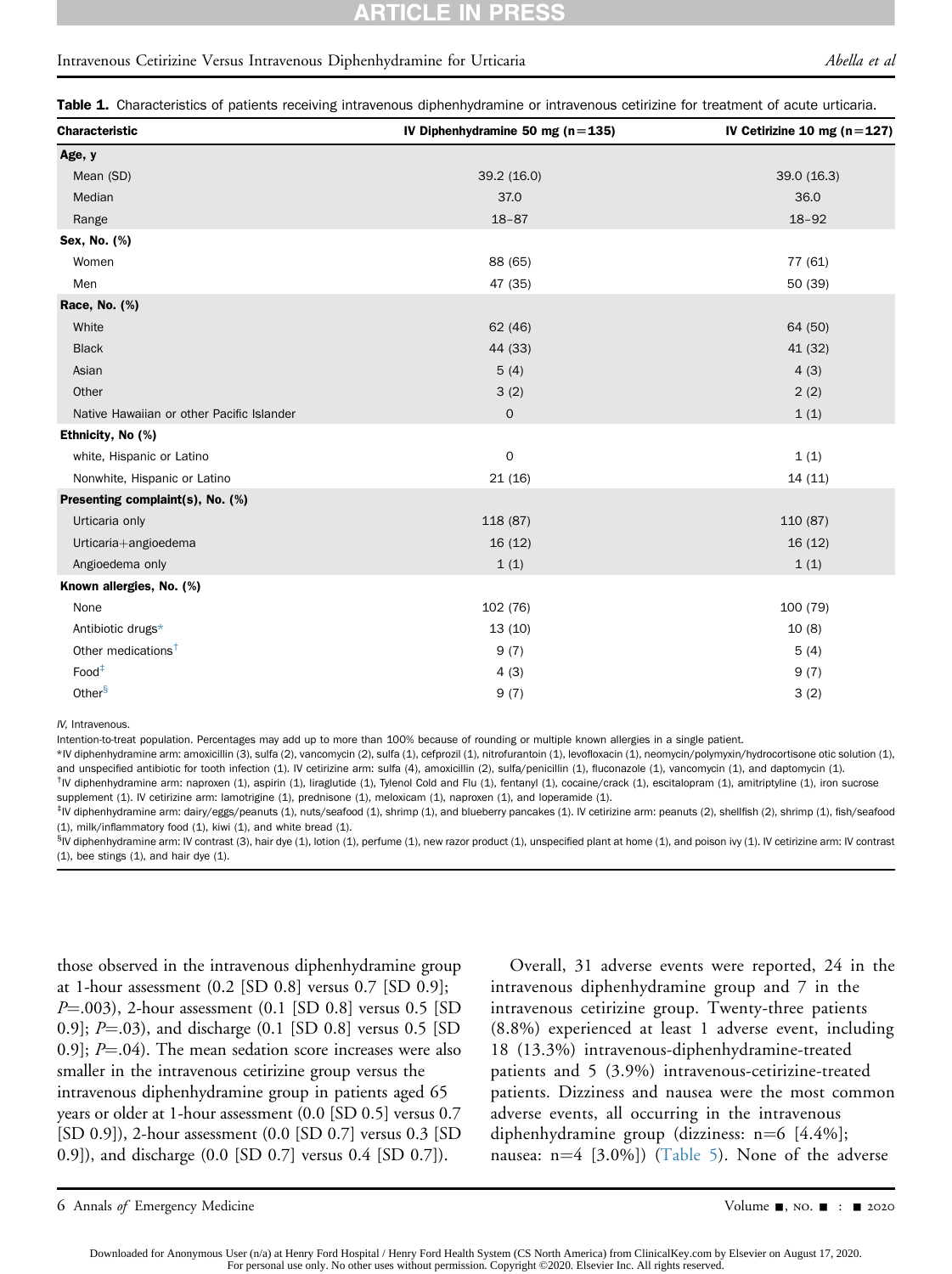# RTICLE IN PRESS

#### Intravenous Cetirizine Versus Intravenous Diphenhydramine for Urticaria Abella et al

Table 1. Characteristics of patients receiving intravenous diphenhydramine or intravenous cetirizine for treatment of acute urticaria.

| <b>Characteristic</b>                     | IV Diphenhydramine 50 mg ( $n = 135$ ) | IV Cetirizine 10 mg ( $n=127$ ) |
|-------------------------------------------|----------------------------------------|---------------------------------|
| Age, y                                    |                                        |                                 |
| Mean (SD)                                 | 39.2 (16.0)                            | 39.0(16.3)                      |
| Median                                    | 37.0                                   | 36.0                            |
| Range                                     | $18 - 87$                              | $18 - 92$                       |
| Sex, No. (%)                              |                                        |                                 |
| Women                                     | 88 (65)                                | 77 (61)                         |
| Men                                       | 47 (35)                                | 50 (39)                         |
| Race, No. (%)                             |                                        |                                 |
| White                                     | 62(46)                                 | 64 (50)                         |
| <b>Black</b>                              | 44 (33)                                | 41 (32)                         |
| Asian                                     | 5(4)                                   | 4(3)                            |
| Other                                     | 3(2)                                   | 2(2)                            |
| Native Hawaiian or other Pacific Islander | $\mathsf{O}$                           | 1(1)                            |
| Ethnicity, No (%)                         |                                        |                                 |
| white, Hispanic or Latino                 | $\mathbf 0$                            | 1(1)                            |
| Nonwhite, Hispanic or Latino              | 21(16)                                 | 14 (11)                         |
| Presenting complaint(s), No. (%)          |                                        |                                 |
| Urticaria only                            | 118 (87)                               | 110 (87)                        |
| Urticaria+angioedema                      | 16(12)                                 | 16(12)                          |
| Angioedema only                           | 1(1)                                   | 1(1)                            |
| Known allergies, No. (%)                  |                                        |                                 |
| None                                      | 102 (76)                               | 100 (79)                        |
| Antibiotic drugs*                         | 13(10)                                 | 10(8)                           |
| Other medications <sup>+</sup>            | 9(7)                                   | 5(4)                            |
| Food <sup>‡</sup>                         | 4(3)                                   | 9(7)                            |
| Other <sup>§</sup>                        | 9(7)                                   | 3(2)                            |

<span id="page-7-0"></span>IV, Intravenous.

Intention-to-treat population. Percentages may add up to more than 100% because of rounding or multiple known allergies in a single patient.

<span id="page-7-1"></span>\*IV diphenhydramine arm: amoxicillin (3), sulfa (2), vancomycin (2), sulfa (1), cefprozil (1), nitrofurantoin (1), levofloxacin (1), neomycin/polymyxin/hydrocortisone otic solution (1), and unspecified antibiotic for tooth infection (1). IV cetirizine arm: sulfa (4), amoxicillin (2), sulfa/penicillin (1), fluconazole (1), vancomycin (1), and daptomycin (1).

<span id="page-7-2"></span><sup>†</sup>IV diphenhydramine arm: naproxen (1), aspirin (1), liraglutide (1), Tylenol Cold and Flu (1), fentanyl (1), cocaine/crack (1), escitalopram (1), amitriptyline (1), iron sucrose supplement (1). IV cetirizine arm: lamotrigine (1), prednisone (1), meloxicam (1), naproxen (1), and loperamide (1).

<span id="page-7-3"></span>‡ IV diphenhydramine arm: dairy/eggs/peanuts (1), nuts/seafood (1), shrimp (1), and blueberry pancakes (1). IV cetirizine arm: peanuts (2), shellfish (2), shrimp (1), fish/seafood (1), milk/inflammatory food (1), kiwi (1), and white bread (1).

<span id="page-7-4"></span>§IV diphenhydramine arm: IV contrast (3), hair dye (1), lotion (1), perfume (1), new razor product (1), unspecified plant at home (1), and poison ivy (1). IV cetirizine arm: IV contrast  $(1)$ , bee stings  $(1)$ , and hair dye  $(1)$ .

those observed in the intravenous diphenhydramine group at 1-hour assessment (0.2 [SD 0.8] versus 0.7 [SD 0.9];  $P = .003$ ), 2-hour assessment (0.1 [SD 0.8] versus 0.5 [SD 0.9];  $P = .03$ ), and discharge (0.1 [SD 0.8] versus 0.5 [SD 0.9];  $P = 04$ . The mean sedation score increases were also smaller in the intravenous cetirizine group versus the intravenous diphenhydramine group in patients aged 65 years or older at 1-hour assessment (0.0 [SD 0.5] versus 0.7 [SD 0.9]), 2-hour assessment (0.0 [SD 0.7] versus 0.3 [SD 0.9]), and discharge (0.0 [SD 0.7] versus 0.4 [SD 0.7]).

Overall, 31 adverse events were reported, 24 in the intravenous diphenhydramine group and 7 in the intravenous cetirizine group. Twenty-three patients (8.8%) experienced at least 1 adverse event, including 18 (13.3%) intravenous-diphenhydramine-treated patients and 5 (3.9%) intravenous-cetirizine-treated patients. Dizziness and nausea were the most common adverse events, all occurring in the intravenous diphenhydramine group (dizziness:  $n=6$  [4.4%]; nausea:  $n=4$  [3.0%]) ([Table 5](#page-11-0)). None of the adverse

<sup>6</sup> Annals of Emergency Medicine Contract Contract Contract Contract Contract Contract Contract Contract Contract Contract Contract Oriental Application of the 2020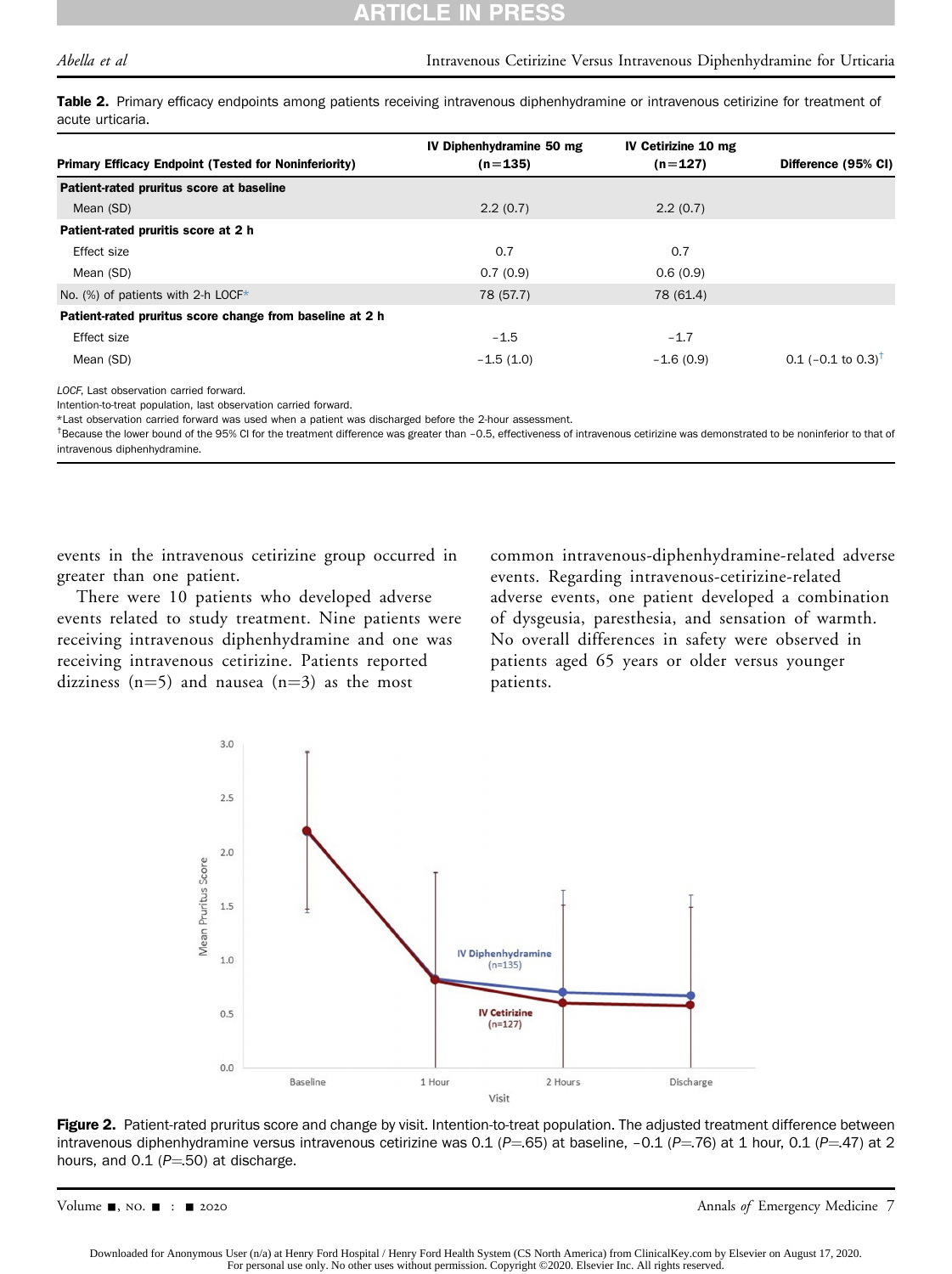#### ARTICLE IN **PRESS**

Table 2. Primary efficacy endpoints among patients receiving intravenous diphenhydramine or intravenous cetirizine for treatment of acute urticaria.

|                                                              | IV Diphenhydramine 50 mg | IV Cetirizine 10 mg |                                |
|--------------------------------------------------------------|--------------------------|---------------------|--------------------------------|
| <b>Primary Efficacy Endpoint (Tested for Noninferiority)</b> | $(n=135)$                | $(n=127)$           | Difference (95% CI)            |
| Patient-rated pruritus score at baseline                     |                          |                     |                                |
| Mean (SD)                                                    | 2.2(0.7)                 | 2.2(0.7)            |                                |
| Patient-rated pruritis score at 2 h                          |                          |                     |                                |
| Effect size                                                  | 0.7                      | 0.7                 |                                |
| Mean (SD)                                                    | 0.7(0.9)                 | 0.6(0.9)            |                                |
| No. (%) of patients with 2-h LOCF*                           | 78 (57.7)                | 78 (61.4)           |                                |
| Patient-rated pruritus score change from baseline at 2 h     |                          |                     |                                |
| Effect size                                                  | $-1.5$                   | $-1.7$              |                                |
| Mean (SD)                                                    | $-1.5(1.0)$              | $-1.6(0.9)$         | 0.1 (-0.1 to 0.3) <sup>†</sup> |

<span id="page-8-0"></span>LOCF, Last observation carried forward.

Intention-to-treat population, last observation carried forward.

<span id="page-8-2"></span>\*Last observation carried forward was used when a patient was discharged before the 2-hour assessment.

<span id="page-8-3"></span><sup>†</sup>Because the lower bound of the 95% CI for the treatment difference was greater than -0.5, effectiveness of intravenous cetirizine was demonstrated to be noninferior to that of intravenous diphenhydramine.

events in the intravenous cetirizine group occurred in greater than one patient.

<span id="page-8-1"></span>There were 10 patients who developed adverse events related to study treatment. Nine patients were receiving intravenous diphenhydramine and one was receiving intravenous cetirizine. Patients reported dizziness (n=5) and nausea (n=3) as the most

common intravenous-diphenhydramine-related adverse events. Regarding intravenous-cetirizine-related adverse events, one patient developed a combination of dysgeusia, paresthesia, and sensation of warmth. No overall differences in safety were observed in patients aged 65 years or older versus younger patients.



Figure 2. Patient-rated pruritus score and change by visit. Intention-to-treat population. The adjusted treatment difference between intravenous diphenhydramine versus intravenous cetirizine was 0.1 (P=.65) at baseline, -0.1 (P=.76) at 1 hour, 0.1 (P=.47) at 2 hours, and 0.1 ( $P = 50$ ) at discharge.

Volume -, no. - : - 2020 Annals of Emergency Medicine 7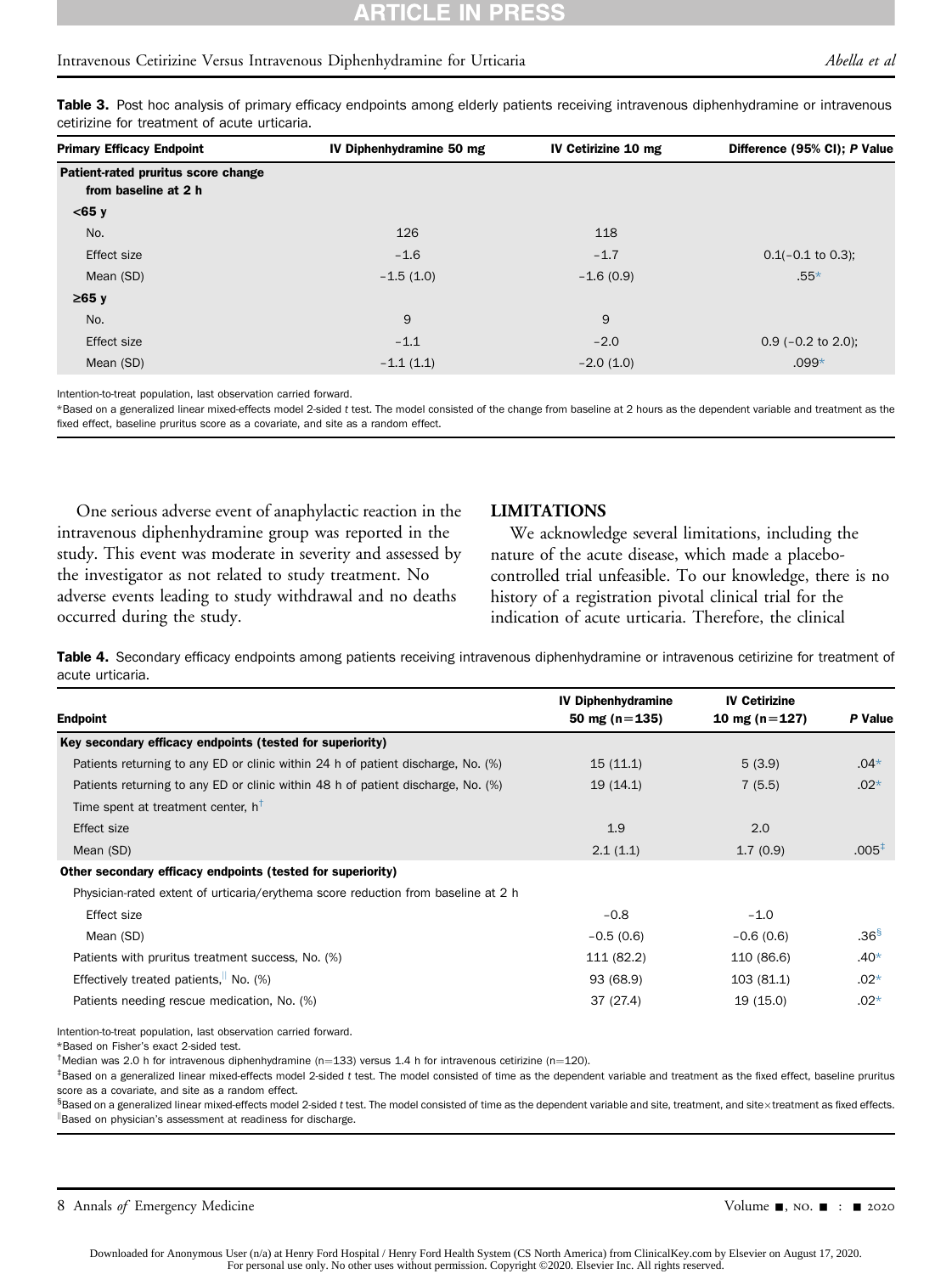# RTICLE IN PRESS

#### Intravenous Cetirizine Versus Intravenous Diphenhydramine for Urticaria Abella et al

Table 3. Post hoc analysis of primary efficacy endpoints among elderly patients receiving intravenous diphenhydramine or intravenous cetirizine for treatment of acute urticaria.

| <b>Primary Efficacy Endpoint</b>                            | IV Diphenhydramine 50 mg | IV Cetirizine 10 mg | Difference (95% CI); P Value |
|-------------------------------------------------------------|--------------------------|---------------------|------------------------------|
| Patient-rated pruritus score change<br>from baseline at 2 h |                          |                     |                              |
| $<$ 65 y                                                    |                          |                     |                              |
| No.                                                         | 126                      | 118                 |                              |
| Effect size                                                 | $-1.6$                   | $-1.7$              | $0.1(-0.1)$ to 0.3);         |
| Mean (SD)                                                   | $-1.5(1.0)$              | $-1.6(0.9)$         | $.55*$                       |
| $≥65$ y                                                     |                          |                     |                              |
| No.                                                         | 9                        | 9                   |                              |
| Effect size                                                 | $-1.1$                   | $-2.0$              | $0.9$ (-0.2 to 2.0);         |
| Mean (SD)                                                   | $-1.1(1.1)$              | $-2.0(1.0)$         | $.099*$                      |

<span id="page-9-0"></span>Intention-to-treat population, last observation carried forward.

<span id="page-9-6"></span>\*Based on a generalized linear mixed-effects model 2-sided t test. The model consisted of the change from baseline at 2 hours as the dependent variable and treatment as the fixed effect, baseline pruritus score as a covariate, and site as a random effect.

One serious adverse event of anaphylactic reaction in the intravenous diphenhydramine group was reported in the study. This event was moderate in severity and assessed by the investigator as not related to study treatment. No adverse events leading to study withdrawal and no deaths occurred during the study.

#### LIMITATIONS

We acknowledge several limitations, including the nature of the acute disease, which made a placebocontrolled trial unfeasible. To our knowledge, there is no history of a registration pivotal clinical trial for the indication of acute urticaria. Therefore, the clinical

Table 4. Secondary efficacy endpoints among patients receiving intravenous diphenhydramine or intravenous cetirizine for treatment of acute urticaria.

|                                                                                   | <b>IV Diphenhydramine</b> | <b>IV Cetirizine</b> |                  |
|-----------------------------------------------------------------------------------|---------------------------|----------------------|------------------|
| <b>Endpoint</b>                                                                   | 50 mg ( $n = 135$ )       | 10 mg ( $n = 127$ )  | P Value          |
| Key secondary efficacy endpoints (tested for superiority)                         |                           |                      |                  |
| Patients returning to any ED or clinic within 24 h of patient discharge, No. (%)  | 15(11.1)                  | 5(3.9)               | $.04*$           |
| Patients returning to any ED or clinic within 48 h of patient discharge, No. (%)  | 19(14.1)                  | 7(5.5)               | $.02*$           |
| Time spent at treatment center, $h^{\dagger}$                                     |                           |                      |                  |
| Effect size                                                                       | 1.9                       | 2.0                  |                  |
| Mean (SD)                                                                         | 2.1(1.1)                  | 1.7(0.9)             | $.005^+$         |
| Other secondary efficacy endpoints (tested for superiority)                       |                           |                      |                  |
| Physician-rated extent of urticaria/erythema score reduction from baseline at 2 h |                           |                      |                  |
| Effect size                                                                       | $-0.8$                    | $-1.0$               |                  |
| Mean (SD)                                                                         | $-0.5(0.6)$               | $-0.6(0.6)$          | .36 <sup>8</sup> |
| Patients with pruritus treatment success, No. (%)                                 | 111 (82.2)                | 110 (86.6)           | $.40*$           |
| Effectively treated patients, $\vert$ No. (%)                                     | 93 (68.9)                 | 103 (81.1)           | $.02*$           |
| Patients needing rescue medication, No. (%)                                       | 37 (27.4)                 | 19 (15.0)            | $.02*$           |

<span id="page-9-1"></span>Intention-to-treat population, last observation carried forward.

<span id="page-9-2"></span>\*Based on Fisher's exact 2-sided test.

<span id="page-9-3"></span>†Median was 2.0 h for intravenous diphenhydramine (n=133) versus 1.4 h for intravenous cetirizine (n=120).<br>‡Posed en a generalized linear mixed effects model 2 sided t test. The model ensisted of time as the depend

<span id="page-9-4"></span>Based on a generalized linear mixed-effects model 2-sided t test. The model consisted of time as the dependent variable and treatment as the fixed effect, baseline pruritus score as a covariate, and site as a random effect.

<span id="page-9-5"></span>§Based on a generalized linear mixed-effects model 2-sided t test. The model consisted of time as the dependent variable and site, treatment, and site×treatment as fixed effects.<br>" <sup>||</sup>Based on physician's assessment at readiness for discharge.

8 Annals of Emergency Medicine Contract Contract Contract Contract Contract Contract Contract Contract Contract Contract Contract Oriental Application of Emergency Medicine Contract Contract Contract Contract Contract Cont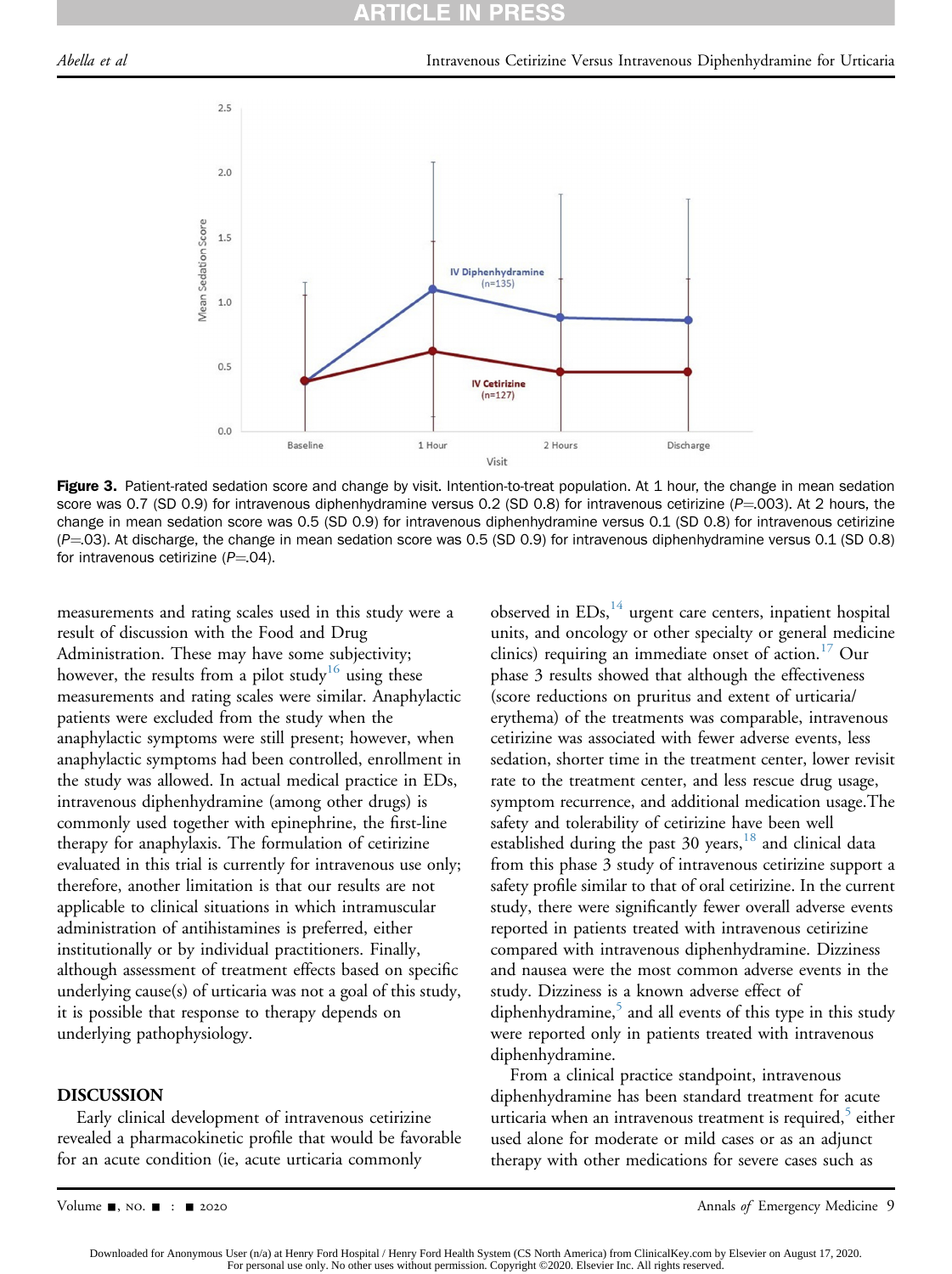#### **ARTICLE** PR

<span id="page-10-0"></span>

Figure 3. Patient-rated sedation score and change by visit. Intention-to-treat population. At 1 hour, the change in mean sedation score was 0.7 (SD 0.9) for intravenous diphenhydramine versus 0.2 (SD 0.8) for intravenous cetirizine ( $P=003$ ). At 2 hours, the change in mean sedation score was 0.5 (SD 0.9) for intravenous diphenhydramine versus 0.1 (SD 0.8) for intravenous cetirizine  $(P=03)$ . At discharge, the change in mean sedation score was 0.5 (SD 0.9) for intravenous diphenhydramine versus 0.1 (SD 0.8) for intravenous cetirizine  $(P=04)$ .

measurements and rating scales used in this study were a result of discussion with the Food and Drug Administration. These may have some subjectivity; however, the results from a pilot study<sup>[16](#page-13-3)</sup> using these measurements and rating scales were similar. Anaphylactic patients were excluded from the study when the anaphylactic symptoms were still present; however, when anaphylactic symptoms had been controlled, enrollment in the study was allowed. In actual medical practice in EDs, intravenous diphenhydramine (among other drugs) is commonly used together with epinephrine, the first-line therapy for anaphylaxis. The formulation of cetirizine evaluated in this trial is currently for intravenous use only; therefore, another limitation is that our results are not applicable to clinical situations in which intramuscular administration of antihistamines is preferred, either institutionally or by individual practitioners. Finally, although assessment of treatment effects based on specific underlying cause(s) of urticaria was not a goal of this study, it is possible that response to therapy depends on underlying pathophysiology.

#### DISCUSSION

Early clinical development of intravenous cetirizine revealed a pharmacokinetic profile that would be favorable for an acute condition (ie, acute urticaria commonly

observed in  $EDs$ ,<sup>[14](#page-13-1)</sup> urgent care centers, inpatient hospital units, and oncology or other specialty or general medicine clinics) requiring an immediate onset of action.<sup>[17](#page-13-4)</sup> Our phase 3 results showed that although the effectiveness (score reductions on pruritus and extent of urticaria/ erythema) of the treatments was comparable, intravenous cetirizine was associated with fewer adverse events, less sedation, shorter time in the treatment center, lower revisit rate to the treatment center, and less rescue drug usage, symptom recurrence, and additional medication usage.The safety and tolerability of cetirizine have been well established during the past  $30$  years,  $18$  and clinical data from this phase 3 study of intravenous cetirizine support a safety profile similar to that of oral cetirizine. In the current study, there were significantly fewer overall adverse events reported in patients treated with intravenous cetirizine compared with intravenous diphenhydramine. Dizziness and nausea were the most common adverse events in the study. Dizziness is a known adverse effect of diphenhydramine, $\frac{5}{3}$  $\frac{5}{3}$  $\frac{5}{3}$  and all events of this type in this study were reported only in patients treated with intravenous diphenhydramine.

From a clinical practice standpoint, intravenous diphenhydramine has been standard treatment for acute urticaria when an intravenous treatment is required, $\delta$  either used alone for moderate or mild cases or as an adjunct therapy with other medications for severe cases such as

Volume -, no. - : - 2020 Annals of Emergency Medicine 9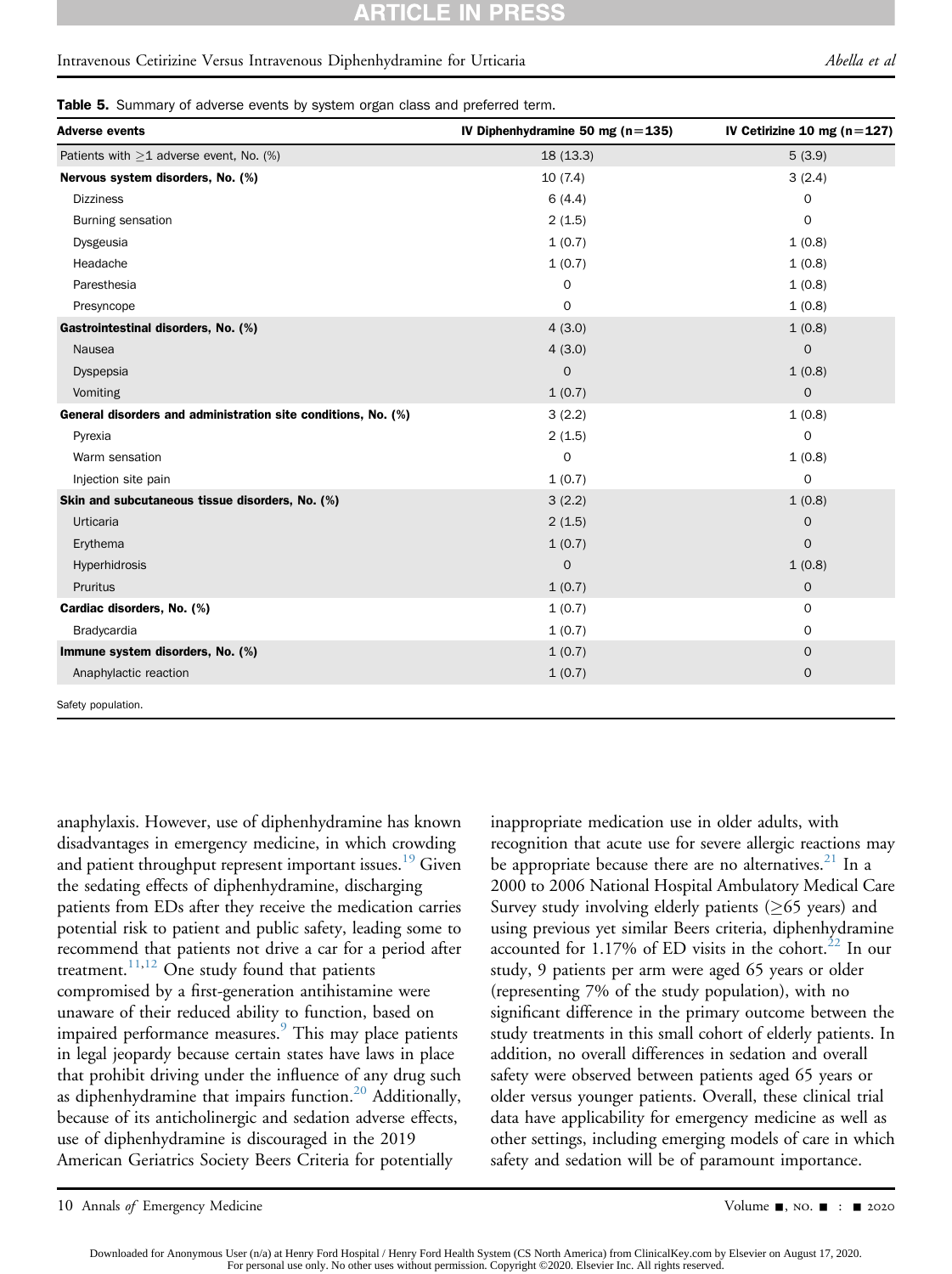#### CLE IN **PRES**

#### Intravenous Cetirizine Versus Intravenous Diphenhydramine for Urticaria Abella et al

Table 5. Summary of adverse events by system organ class and preferred term.

| <b>Adverse events</b>                                         | IV Diphenhydramine 50 mg ( $n = 135$ ) | IV Cetirizine 10 mg ( $n=127$ ) |
|---------------------------------------------------------------|----------------------------------------|---------------------------------|
| Patients with $>1$ adverse event, No. (%)                     | 18(13.3)                               | 5(3.9)                          |
| Nervous system disorders, No. (%)                             | 10(7.4)                                | 3(2.4)                          |
| <b>Dizziness</b>                                              | 6(4.4)                                 | $\mathbf 0$                     |
| <b>Burning sensation</b>                                      | 2(1.5)                                 | 0                               |
| Dysgeusia                                                     | 1(0.7)                                 | 1(0.8)                          |
| Headache                                                      | 1(0.7)                                 | 1(0.8)                          |
| Paresthesia                                                   | $\mathbf 0$                            | 1(0.8)                          |
| Presyncope                                                    | 0                                      | 1(0.8)                          |
| Gastrointestinal disorders, No. (%)                           | 4(3.0)                                 | 1(0.8)                          |
| Nausea                                                        | 4(3.0)                                 | $\mathbf 0$                     |
| Dyspepsia                                                     | 0                                      | 1(0.8)                          |
| Vomiting                                                      | 1(0.7)                                 | $\mathbf{O}$                    |
| General disorders and administration site conditions, No. (%) | 3(2.2)                                 | 1(0.8)                          |
| Pyrexia                                                       | 2(1.5)                                 | 0                               |
| Warm sensation                                                | $\mathbf 0$                            | 1(0.8)                          |
| Injection site pain                                           | 1(0.7)                                 | 0                               |
| Skin and subcutaneous tissue disorders, No. (%)               | 3(2.2)                                 | 1(0.8)                          |
| Urticaria                                                     | 2(1.5)                                 | $\mathbf 0$                     |
| Erythema                                                      | 1(0.7)                                 | $\Omega$                        |
| Hyperhidrosis                                                 | $\mathbf 0$                            | 1(0.8)                          |
| Pruritus                                                      | 1(0.7)                                 | $\mathbf 0$                     |
| Cardiac disorders, No. (%)                                    | 1(0.7)                                 | $\mathbf 0$                     |
| Bradycardia                                                   | 1(0.7)                                 | 0                               |
| Immune system disorders, No. (%)                              | 1(0.7)                                 | $\mathbf 0$                     |
| Anaphylactic reaction                                         | 1(0.7)                                 | $\mathsf{O}\xspace$             |
| Cafabrican del dina                                           |                                        |                                 |

<span id="page-11-0"></span>Safety population.

anaphylaxis. However, use of diphenhydramine has known disadvantages in emergency medicine, in which crowding and patient throughput represent important issues.<sup>19</sup> Given the sedating effects of diphenhydramine, discharging patients from EDs after they receive the medication carries potential risk to patient and public safety, leading some to recommend that patients not drive a car for a period after treatment.<sup>11,[12](#page-13-7)</sup> One study found that patients compromised by a first-generation antihistamine were unaware of their reduced ability to function, based on impaired performance measures.<sup>[9](#page-12-7)</sup> This may place patients in legal jeopardy because certain states have laws in place that prohibit driving under the influence of any drug such as diphenhydramine that impairs function.<sup>20</sup> Additionally, because of its anticholinergic and sedation adverse effects, use of diphenhydramine is discouraged in the 2019 American Geriatrics Society Beers Criteria for potentially

inappropriate medication use in older adults, with recognition that acute use for severe allergic reactions may be appropriate because there are no alternatives.<sup>[21](#page-13-9)</sup> In a 2000 to 2006 National Hospital Ambulatory Medical Care Survey study involving elderly patients ( $\geq 65$  years) and using previous yet similar Beers criteria, diphenhydramine accounted for  $1.17\%$  of ED visits in the cohort.<sup>[22](#page-13-10)</sup> In our study, 9 patients per arm were aged 65 years or older (representing 7% of the study population), with no significant difference in the primary outcome between the study treatments in this small cohort of elderly patients. In addition, no overall differences in sedation and overall safety were observed between patients aged 65 years or older versus younger patients. Overall, these clinical trial data have applicability for emergency medicine as well as other settings, including emerging models of care in which safety and sedation will be of paramount importance.

10 Annals of Emergency Medicine Contract Contract Contract Contract Contract Contract Contract Contract Contract Contract Contract Contract Contract Contract Contract Contract Contract Contract Contract Contract Contract C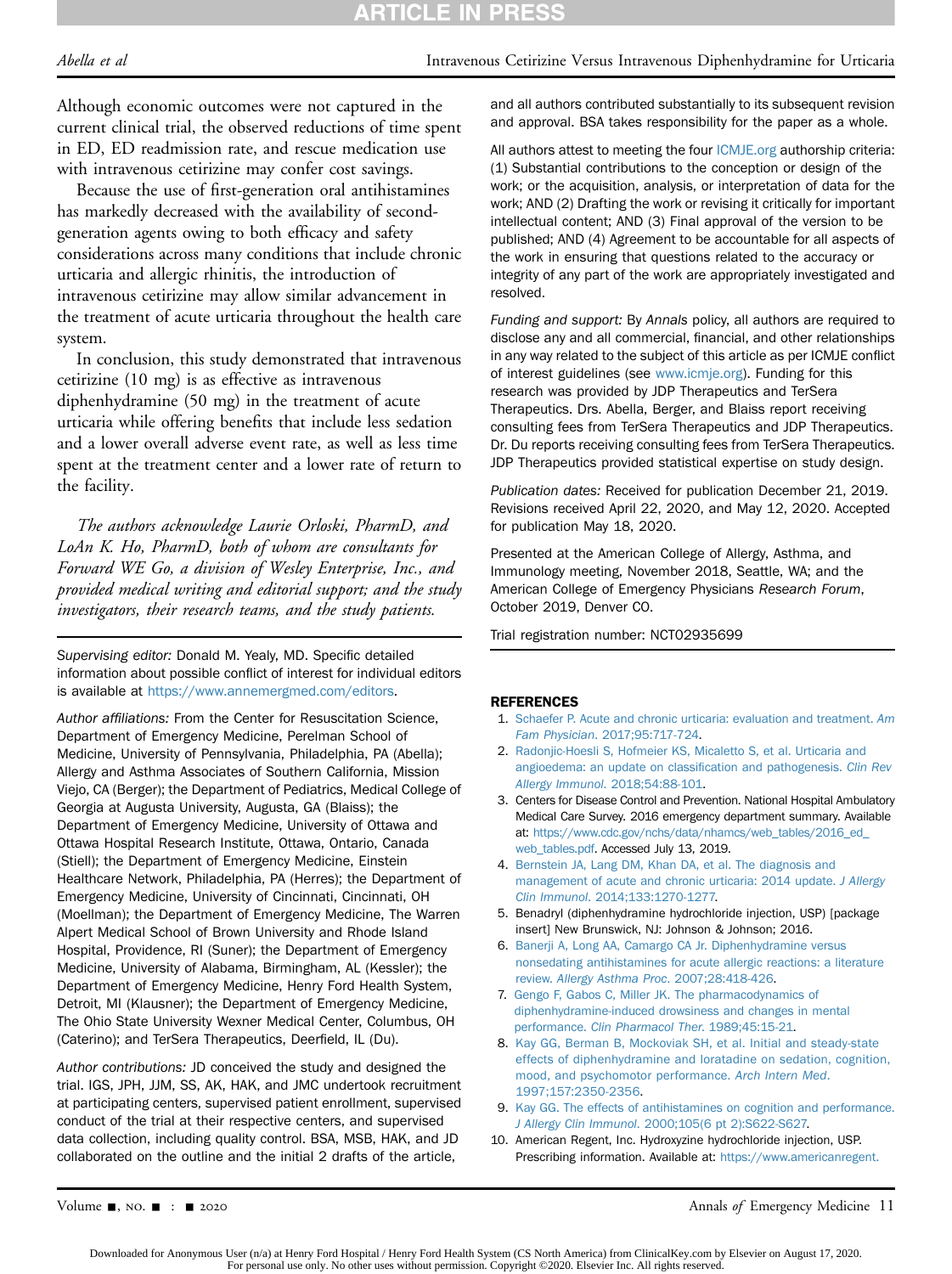# **ARTICLE IN PRESS**

#### Abella et al **Intravenous Cetirizine Versus Intravenous Diphenhydramine for Urticaria**

Although economic outcomes were not captured in the current clinical trial, the observed reductions of time spent in ED, ED readmission rate, and rescue medication use with intravenous cetirizine may confer cost savings.

Because the use of first-generation oral antihistamines has markedly decreased with the availability of secondgeneration agents owing to both efficacy and safety considerations across many conditions that include chronic urticaria and allergic rhinitis, the introduction of intravenous cetirizine may allow similar advancement in the treatment of acute urticaria throughout the health care system.

In conclusion, this study demonstrated that intravenous cetirizine (10 mg) is as effective as intravenous diphenhydramine (50 mg) in the treatment of acute urticaria while offering benefits that include less sedation and a lower overall adverse event rate, as well as less time spent at the treatment center and a lower rate of return to the facility.

The authors acknowledge Laurie Orloski, PharmD, and LoAn K. Ho, PharmD, both of whom are consultants for Forward WE Go, a division of Wesley Enterprise, Inc., and provided medical writing and editorial support; and the study investigators, their research teams, and the study patients.

Supervising editor: Donald M. Yealy, MD. Specific detailed information about possible conflict of interest for individual editors is available at <https://www.annemergmed.com/editors>.

Author affiliations: From the Center for Resuscitation Science, Department of Emergency Medicine, Perelman School of Medicine, University of Pennsylvania, Philadelphia, PA (Abella); Allergy and Asthma Associates of Southern California, Mission Viejo, CA (Berger); the Department of Pediatrics, Medical College of Georgia at Augusta University, Augusta, GA (Blaiss); the Department of Emergency Medicine, University of Ottawa and Ottawa Hospital Research Institute, Ottawa, Ontario, Canada (Stiell); the Department of Emergency Medicine, Einstein Healthcare Network, Philadelphia, PA (Herres); the Department of Emergency Medicine, University of Cincinnati, Cincinnati, OH (Moellman); the Department of Emergency Medicine, The Warren Alpert Medical School of Brown University and Rhode Island Hospital, Providence, RI (Suner); the Department of Emergency Medicine, University of Alabama, Birmingham, AL (Kessler); the Department of Emergency Medicine, Henry Ford Health System, Detroit, MI (Klausner); the Department of Emergency Medicine, The Ohio State University Wexner Medical Center, Columbus, OH (Caterino); and TerSera Therapeutics, Deerfield, IL (Du).

Author contributions: JD conceived the study and designed the trial. IGS, JPH, JJM, SS, AK, HAK, and JMC undertook recruitment at participating centers, supervised patient enrollment, supervised conduct of the trial at their respective centers, and supervised data collection, including quality control. BSA, MSB, HAK, and JD collaborated on the outline and the initial 2 drafts of the article,

and all authors contributed substantially to its subsequent revision and approval. BSA takes responsibility for the paper as a whole.

All authors attest to meeting the four [ICMJE.org](http://ICMJE.org) authorship criteria: (1) Substantial contributions to the conception or design of the work; or the acquisition, analysis, or interpretation of data for the work; AND (2) Drafting the work or revising it critically for important intellectual content; AND (3) Final approval of the version to be published; AND (4) Agreement to be accountable for all aspects of the work in ensuring that questions related to the accuracy or integrity of any part of the work are appropriately investigated and resolved.

Funding and support: By Annals policy, all authors are required to disclose any and all commercial, financial, and other relationships in any way related to the subject of this article as per ICMJE conflict of interest guidelines (see [www.icmje.org\)](http://www.icmje.org). Funding for this research was provided by JDP Therapeutics and TerSera Therapeutics. Drs. Abella, Berger, and Blaiss report receiving consulting fees from TerSera Therapeutics and JDP Therapeutics. Dr. Du reports receiving consulting fees from TerSera Therapeutics. JDP Therapeutics provided statistical expertise on study design.

Publication dates: Received for publication December 21, 2019. Revisions received April 22, 2020, and May 12, 2020. Accepted for publication May 18, 2020.

Presented at the American College of Allergy, Asthma, and Immunology meeting, November 2018, Seattle, WA; and the American College of Emergency Physicians Research Forum, October 2019, Denver CO.

Trial registration number: NCT02935699

#### <span id="page-12-0"></span>**REFERENCES**

- <span id="page-12-1"></span>1. [Schaefer P. Acute and chronic urticaria: evaluation and treatment.](http://refhub.elsevier.com/S0196-0644(20)30396-6/sref1) Am Fam Physician[. 2017;95:717-724.](http://refhub.elsevier.com/S0196-0644(20)30396-6/sref1)
- 2. [Radonjic-Hoesli S, Hofmeier KS, Micaletto S, et al. Urticaria and](http://refhub.elsevier.com/S0196-0644(20)30396-6/sref2) [angioedema: an update on classi](http://refhub.elsevier.com/S0196-0644(20)30396-6/sref2)fication and pathogenesis. Clin Rev Allergy Immunol[. 2018;54:88-101.](http://refhub.elsevier.com/S0196-0644(20)30396-6/sref2)
- <span id="page-12-2"></span>3. Centers for Disease Control and Prevention. National Hospital Ambulatory Medical Care Survey. 2016 emergency department summary. Available at: [https://www.cdc.gov/nchs/data/nhamcs/web\\_tables/2016\\_ed\\_](https://www.cdc.gov/nchs/data/nhamcs/web_tables/2016_ed_web_tables.pdf) [web\\_tables.pdf](https://www.cdc.gov/nchs/data/nhamcs/web_tables/2016_ed_web_tables.pdf). Accessed July 13, 2019.
- <span id="page-12-3"></span>4. [Bernstein JA, Lang DM, Khan DA, et al. The diagnosis and](http://refhub.elsevier.com/S0196-0644(20)30396-6/sref4) [management of acute and chronic urticaria: 2014 update.](http://refhub.elsevier.com/S0196-0644(20)30396-6/sref4) J Allergy Clin Immunol[. 2014;133:1270-1277.](http://refhub.elsevier.com/S0196-0644(20)30396-6/sref4)
- <span id="page-12-4"></span>5. Benadryl (diphenhydramine hydrochloride injection, USP) [package insert] New Brunswick, NJ: Johnson & Johnson; 2016.
- <span id="page-12-5"></span>6. [Banerji A, Long AA, Camargo CA Jr. Diphenhydramine versus](http://refhub.elsevier.com/S0196-0644(20)30396-6/sref6) [nonsedating antihistamines for acute allergic reactions: a literature](http://refhub.elsevier.com/S0196-0644(20)30396-6/sref6) review. [Allergy Asthma Proc](http://refhub.elsevier.com/S0196-0644(20)30396-6/sref6). 2007;28:418-426.
- 7. [Gengo F, Gabos C, Miller JK. The pharmacodynamics of](http://refhub.elsevier.com/S0196-0644(20)30396-6/sref7) [diphenhydramine-induced drowsiness and changes in mental](http://refhub.elsevier.com/S0196-0644(20)30396-6/sref7) performance. [Clin Pharmacol Ther](http://refhub.elsevier.com/S0196-0644(20)30396-6/sref7). 1989;45:15-21.
- 8. [Kay GG, Berman B, Mockoviak SH, et al. Initial and steady-state](http://refhub.elsevier.com/S0196-0644(20)30396-6/sref8) [effects of diphenhydramine and loratadine on sedation, cognition,](http://refhub.elsevier.com/S0196-0644(20)30396-6/sref8) [mood, and psychomotor performance.](http://refhub.elsevier.com/S0196-0644(20)30396-6/sref8) Arch Intern Med. [1997;157:2350-2356](http://refhub.elsevier.com/S0196-0644(20)30396-6/sref8).
- <span id="page-12-7"></span><span id="page-12-6"></span>9. [Kay GG. The effects of antihistamines on cognition and performance.](http://refhub.elsevier.com/S0196-0644(20)30396-6/sref9) J Allergy Clin Immunol[. 2000;105\(6 pt 2\):S622-S627.](http://refhub.elsevier.com/S0196-0644(20)30396-6/sref9)
- 10. American Regent, Inc. Hydroxyzine hydrochloride injection, USP. Prescribing information. Available at: [https://www.americanregent.](https://www.americanregent.com/media/2501/hydroxyzine-prescribing-information.pdf)

Volume  $\blacksquare$ , NO.  $\blacksquare$  :  $\blacksquare$  2020